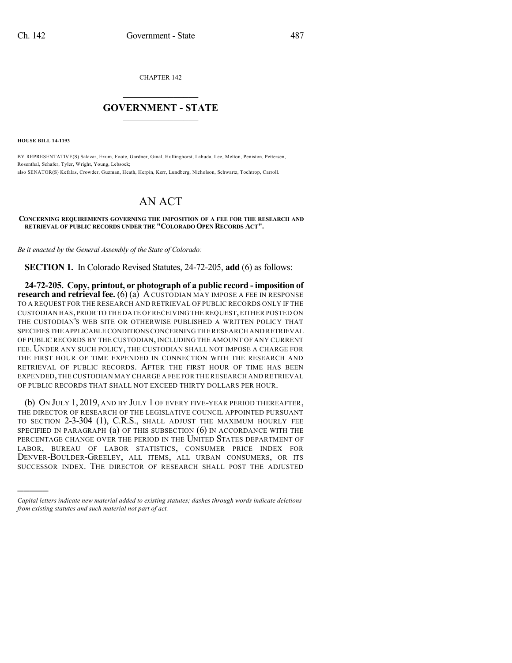CHAPTER 142

## $\overline{\phantom{a}}$  . The set of the set of the set of the set of the set of the set of the set of the set of the set of the set of the set of the set of the set of the set of the set of the set of the set of the set of the set o **GOVERNMENT - STATE**  $\_$

**HOUSE BILL 14-1193**

)))))

BY REPRESENTATIVE(S) Salazar, Exum, Foote, Gardner, Ginal, Hullinghorst, Labuda, Lee, Melton, Peniston, Pettersen, Rosenthal, Schafer, Tyler, Wright, Young, Lebsock; also SENATOR(S) Kefalas, Crowder, Guzman, Heath, Herpin, Kerr, Lundberg, Nicholson, Schwartz, Tochtrop, Carroll.

## AN ACT

**CONCERNING REQUIREMENTS GOVERNING THE IMPOSITION OF A FEE FOR THE RESEARCH AND RETRIEVAL OF PUBLIC RECORDS UNDER THE "COLORADO OPEN RECORDS ACT".**

*Be it enacted by the General Assembly of the State of Colorado:*

**SECTION 1.** In Colorado Revised Statutes, 24-72-205, **add** (6) as follows:

**24-72-205. Copy, printout, or photograph of a public record - imposition of research and retrieval fee.** (6) (a) A CUSTODIAN MAY IMPOSE A FEE IN RESPONSE TO A REQUEST FOR THE RESEARCH AND RETRIEVAL OF PUBLIC RECORDS ONLY IF THE CUSTODIAN HAS,PRIOR TO THE DATE OF RECEIVING THE REQUEST,EITHER POSTED ON THE CUSTODIAN'S WEB SITE OR OTHERWISE PUBLISHED A WRITTEN POLICY THAT SPECIFIES THE APPLICABLE CONDITIONSCONCERNING THE RESEARCH AND RETRIEVAL OF PUBLIC RECORDS BY THE CUSTODIAN, INCLUDING THE AMOUNT OF ANY CURRENT FEE. UNDER ANY SUCH POLICY, THE CUSTODIAN SHALL NOT IMPOSE A CHARGE FOR THE FIRST HOUR OF TIME EXPENDED IN CONNECTION WITH THE RESEARCH AND RETRIEVAL OF PUBLIC RECORDS. AFTER THE FIRST HOUR OF TIME HAS BEEN EXPENDED,THE CUSTODIAN MAY CHARGE A FEE FOR THE RESEARCH AND RETRIEVAL OF PUBLIC RECORDS THAT SHALL NOT EXCEED THIRTY DOLLARS PER HOUR.

(b) ON JULY 1, 2019, AND BY JULY 1 OF EVERY FIVE-YEAR PERIOD THEREAFTER, THE DIRECTOR OF RESEARCH OF THE LEGISLATIVE COUNCIL APPOINTED PURSUANT TO SECTION 2-3-304 (1), C.R.S., SHALL ADJUST THE MAXIMUM HOURLY FEE SPECIFIED IN PARAGRAPH (a) OF THIS SUBSECTION (6) IN ACCORDANCE WITH THE PERCENTAGE CHANGE OVER THE PERIOD IN THE UNITED STATES DEPARTMENT OF LABOR, BUREAU OF LABOR STATISTICS, CONSUMER PRICE INDEX FOR DENVER-BOULDER-GREELEY, ALL ITEMS, ALL URBAN CONSUMERS, OR ITS SUCCESSOR INDEX. THE DIRECTOR OF RESEARCH SHALL POST THE ADJUSTED

*Capital letters indicate new material added to existing statutes; dashes through words indicate deletions from existing statutes and such material not part of act.*